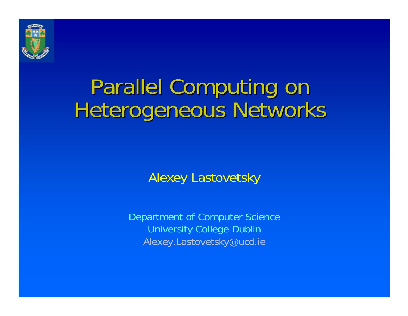

### Parallel Computing on Heterogeneous Networks

#### Alexey Lastovetsky

Department of Computer Science University College Dublin Alexey.Lastovetsky@ucd.ie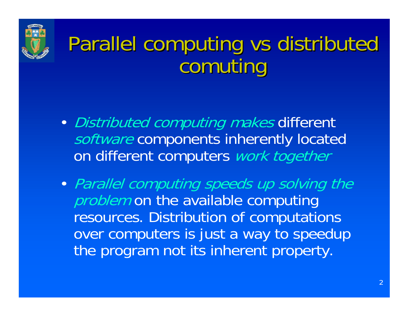

#### Parallel computing vs distributed comuting

- •• Distributed computing makes different software components inherently located on different computers work together
- • Parallel computing speeds up solving the problem on the available computing resources. Distribution of computations over computers is just a way to speedup the program not its inherent property.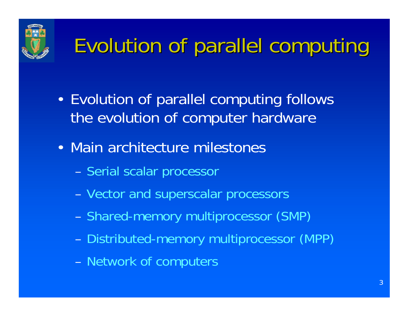

### Evolution of parallel computing Evolution of parallel computing

- • Evolution of parallel computing follows the evolution of computer hardware
- Main architecture milestones
	- Serial scalar processor
	- Vector and superscalar processors
	- Shared-memory multiprocessor (SMP)
	- Distributed-memory multiprocessor (MPP)
	- Network of computers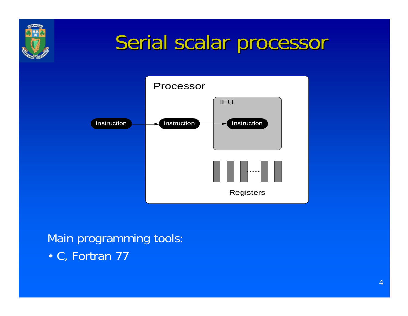

#### Serial scalar processor



#### Main programming tools:

• C, Fortran 77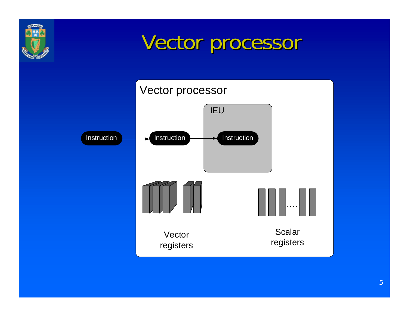

#### Vector processor

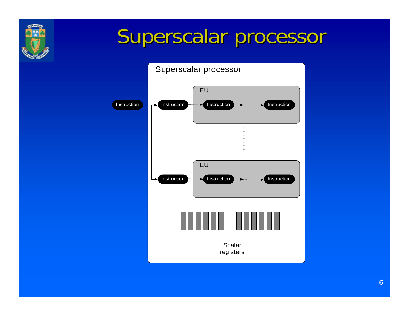

### Superscalar processor

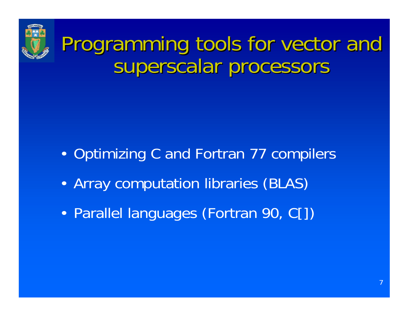

### Programming tools for vector and superscalar processors

- •Optimizing C and Fortran 77 compilers
- •Array computation libraries (BLAS)
- •Parallel languages (Fortran 90, C[])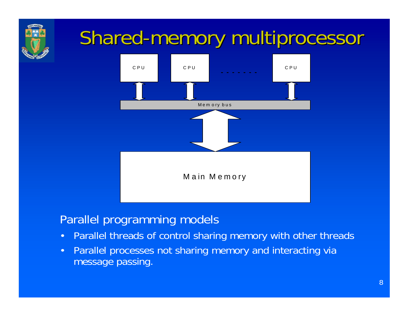

#### Shared-memory multiprocessor



#### Parallel programming models

- •Parallel threads of control sharing memory with other threads
- • Parallel processes not sharing memory and interacting via message passing.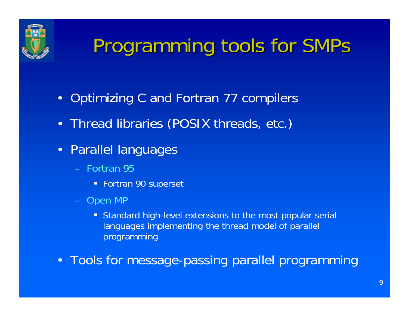

### Programming tools for SMPs

- $\bullet$ Optimizing C and Fortran 77 compilers
- $\bullet$ Thread libraries (POSIX threads, etc.)
- Parallel languages
	- Fortran 95
		- **Fortran 90 superset**
	- Open MP
		- Standard high-level extensions to the most popular serial languages implementing the thread model of parallel programming
- Tools for message-passing parallel programming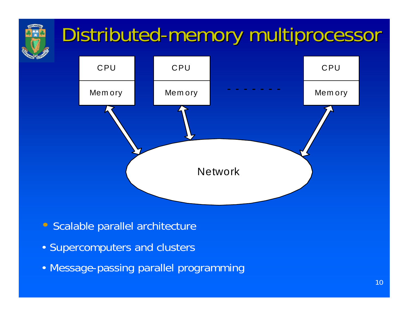

### Distributed-memory multiprocessor



- Scalable parallel architecture
- Supercomputers and clusters
- Message-passing parallel programming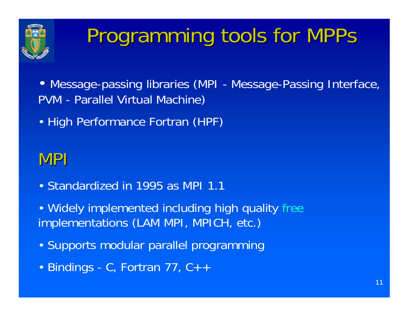

### Programming tools for MPPs

- Message-passing libraries (MPI Message-Passing Interface, PVM - Parallel Virtual Machine)
- High Performance Fortran (HPF)

#### MPI

- Standardized in 1995 as MPI 1.1
- Widely implemented including high quality free implementations (LAM MPI, MPICH, etc.)
- Supports modular parallel programming
- Bindings C, Fortran 77, C++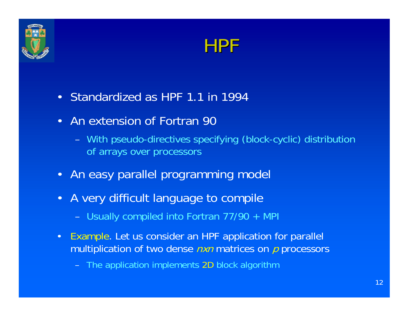



- Standardized as HPF 1.1 in 1994
- $\bullet$  An extension of Fortran 90
	- – With pseudo-directives specifying (block-cyclic) distribution of arrays over processors
- An easy parallel programming model
- $\bullet$  A very difficult language to compile
	- Usually compiled into Fortran 77/90 + MP
- $\bullet$  Example. Let us consider an HPF application for parallel multiplication of two dense  $n x n$  matrices on  $p$  processors
	- The application implements 2D block algorithm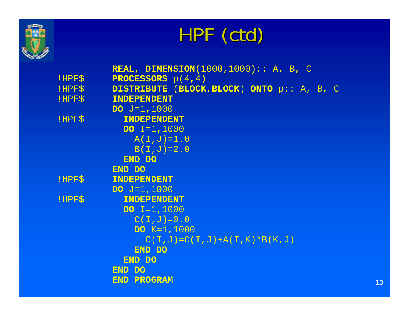

### HPF (ctd)

|        | REAL, DIMENSION( $1000, 1000$ ):: A, B, C  |
|--------|--------------------------------------------|
| !HPF\$ | <b>PROCESSORS</b> $p(4, 4)$                |
| !HPF\$ | DISTRIBUTE (BLOCK, BLOCK) ONTO p:: A, B, C |
| !HPF\$ | <b>INDEPENDENT</b>                         |
|        | $DO J=1,1000$                              |
| !HPF\$ | <b>INDEPENDENT</b>                         |
|        | DO $I=1,1000$                              |
|        | $A(I,J)=1.0$                               |
|        | $B(L,J)=2.0$                               |
|        | END DO                                     |
|        | END DO                                     |
| !HPF\$ | <b>INDEPENDENT</b>                         |
|        | $DO J=1,1000$                              |
| !HPF\$ | <b>INDEPENDENT</b>                         |
|        | $DO I=1,1000$                              |
|        | $C(I,J)=0.0$                               |
|        | $DO K=1,1000$                              |
|        | $C(I,J) = C(I,J) + A(I,K) * B(K,J)$        |
|        | END DO                                     |
|        | END DO                                     |
|        | END DO                                     |
|        | <b>END PROGRAM</b>                         |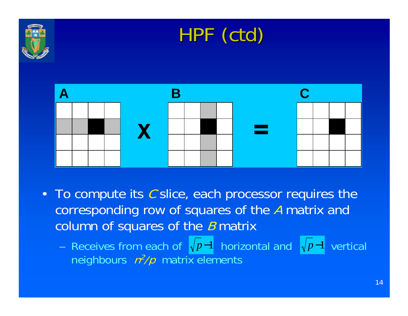

#### HPF (ctd)



- To compute its  $C$  slice, each processor requires the corresponding row of squares of the A matrix and column of squares of the  $B$  matrix
	- *–* Receives from each of  $\sqrt{p-1}$  horizontal and  $\sqrt{p-1}$  vertical neighbours  $n^2/p$  matrix elements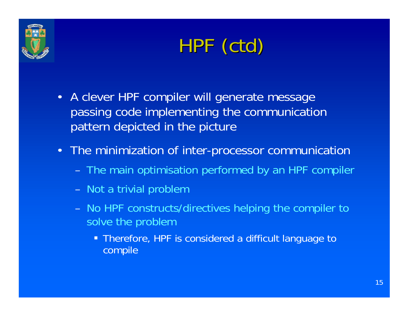



- A clever HPF compiler will generate message passing code implementing the communication pattern depicted in the picture
- $\bullet$  The minimization of inter-processor communication
	- –The main optimisation performed by an HPF compiler
	- –– Not a trivial problem
	- –- No HPF constructs/directives helping the compiler to solve the problem
		- Therefore, HPF is considered a difficult language to compile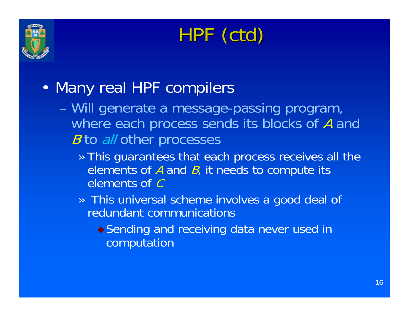

### HPF (ctd)

#### •Many real HPF compilers

- – Will generate a message-passing program, where each process sends its blocks of A and B to all other processes
	- » This guarantees that each process receives all the elements of  $A$  and  $B$ , it needs to compute its elements of C
	- » This universal scheme involves a good deal of redundant communications
		- ◆ Sending and receiving data never used in computation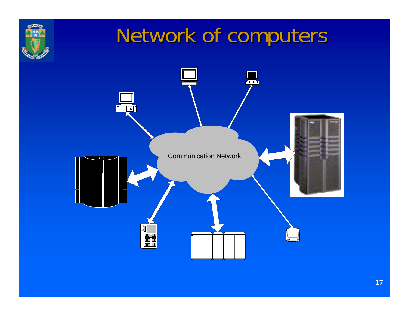

### Network of computers

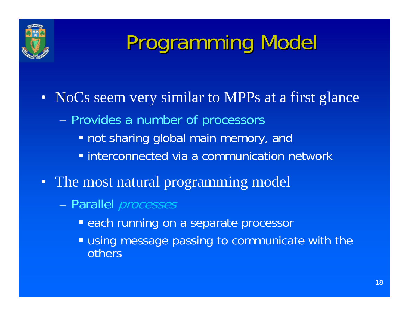

### Programming Model

- NoCs seem very similar to MPPs at a first glance – Provides a number of processors not sharing global main memory, and interconnected via a communication network
- The most natural programming model
	- Parallel *processes* 
		- **Example 2 random** a separate processor
		- **using message passing to communicate with the** others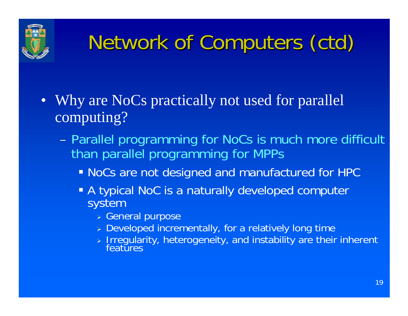

## Network of Computers (ctd)

- Why are NoCs practically not used for parallel computing?
	- Parallel programming for NoCs is much more difficult than parallel programming for MPPs
		- NoCs are not designed and manufactured for HPC
		- A typical NoC is a naturally developed computer system
			- General purpose
			- Developed incrementally, for a relatively long time
			- > Irregularity, heterogeneity, and instability are their inherent features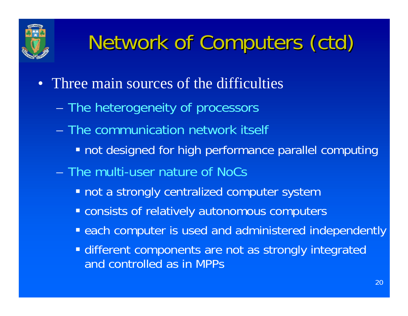

## Network of Computers (ctd)

- • Three main sources of the difficulties
	- The heterogeneity of processors
	- The communication network itself
		- not designed for high performance parallel computing
	- The multi-user nature of NoCs
		- **not a strongly centralized computer system**
		- consists of relatively autonomous computers
		- **Example 12 Figure 20 Figure 20 Figure 20 Figure 20 Figure 20 Figure 20 Figure 20 Figure 20 Figure 20 Figure 20 Figure 20 Figure 20 Figure 20 Figure 20 Figure 20 Figure 20 Figure 20 Figure 20 Figure 20 Figure 20 Figure 20**
		- **different components are not as strongly integrated** and controlled as in MPPs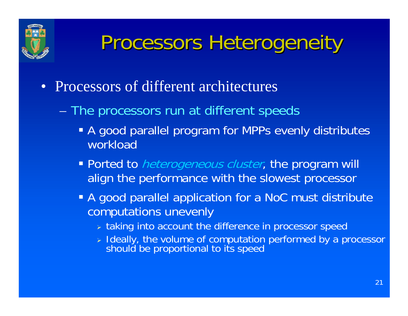

### Processors Heterogeneity

- Processors of different architectures
	- The processors run at different speeds
		- A good parallel program for MPPs evenly distributes workload
		- Ported to *heterogeneous cluster*, the program will align the performance with the slowest processor
		- A good parallel application for a NoC must distribute computations unevenly
			- > taking into account the difference in processor speec
			- Ideally, the volume of computation performed by a processor should be proportional to its speed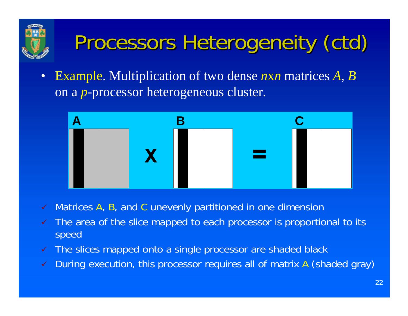

 $\bullet$ • Example. Multiplication of two dense *nxn* matrices A, B on a *p*-processor heterogeneous cluster.



- $\checkmark$ Matrices A, B, and C unevenly partitioned in one dimension
- $\checkmark$  The area of the slice mapped to each processor is proportional to its speed
- $\sqrt{2}$ The slices mapped onto a single processor are shaded black
- $\checkmark$ During execution, this processor requires all of matrix A (shaded gray)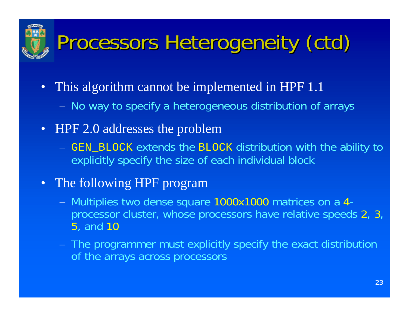

- This algorithm cannot be implemented in HPF 1.1
	- $-$ No way to specify a heterogeneous distribution of arrays
- HPF 2.0 addresses the problem
	- and the contract of the contract of GEN\_BLOCK extends the BLOCK distribution with the ability to explicitly specify the size of each individual block

#### • The following HPF program

- $-$  Multiplies two dense square 1000x1000 matrices on a 4 processor cluster, whose processors have relative speeds 2, 3, 5, and 10
- $-$  The programmer must explicitly specify the exact distribution of the arrays across processors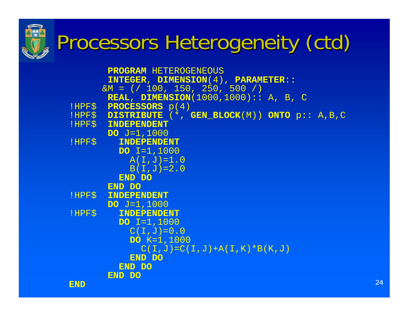```
PROGRAM HETEROGENEOUS
       INTEGER, DIMENSION(4), PARAMETER::
      \&M = (/ 100, 150, 250, 500 /)
      REAL, DIMENSION(1000,1000):: A, B, C
!HPF$ PROCESSORS p(4)
!HPF$ DISTRIBUTE (*, GEN_BLOCK(M)) ONTO p:: A,B,C
!HPF$ INDEPENDENT
       DO J=1,1000
!HPF$ INDEPENDENT
         DO I=1,1000
          A(T,U)=1.0B(I,J)=2.0END DO
      END DO
!HPF$ INDEPENDENT
       DO J=1,1000
!HPF$ INDEPENDENT
         DO I=1,1000
          C(I,J)=0.0DO K=1,1000
            C(I,J) = C(I,J) + A(I,K) * B(K,J)END DO
         END DO
       END DO
```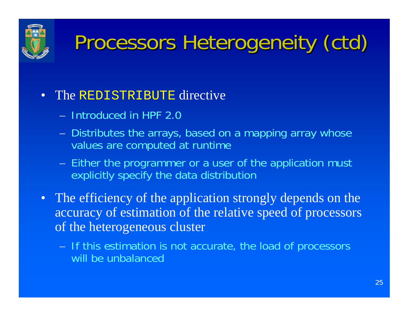

#### • The REDISTRIBUTE directive

- Introduced in HPF 2.0
- and the contract of the contract of Distributes the arrays, based on a mapping array whose values are computed at runtime
- $-$ – Either the programmer or a user of the application must explicitly specify the data distribution
- The efficiency of the application strongly depends on the accuracy of estimation of the relative speed of processors of the heterogeneous cluster
	- and the state of the state of - If this estimation is not accurate, the load of processors will be unbalanced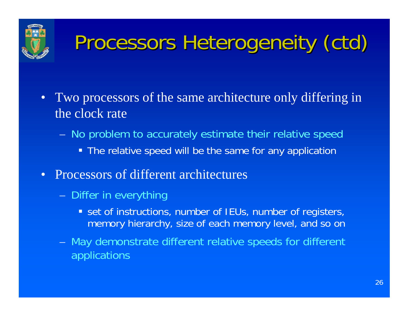

- Two processors of the same architecture only differing in the clock rate
	- $-$ – No problem to accurately estimate their relative speec
		- **The relative speed will be the same for any application**
- $\bullet$  Processors of different architectures
	- $-$  Differ in everything
		- set of instructions, number of IEUs, number of registers, memory hierarchy, size of each memory level, and so on
	- and the state of the state of the May demonstrate different relative speeds for different applications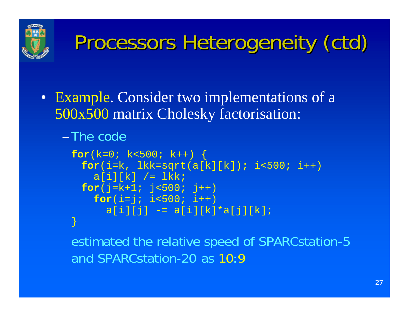

• Example. Consider two implementations of a 500x500 matrix Cholesky factorisation:

–The code

```
for(k=0; k<500; k++) {
 for(i=k, 1kk=sqrt(a[k][k]); i<500; i++)
    \overline{a}[i][k] /= \overline{1}kk;
 for(j=k+1; j<500; j++)for(i = j; i < 500; i++)
      a[i][j] -= a[i][k]*a[j][k];}
```
estimated the relative speed of SPARCstation-5 and SPARCstation-20 as 10:9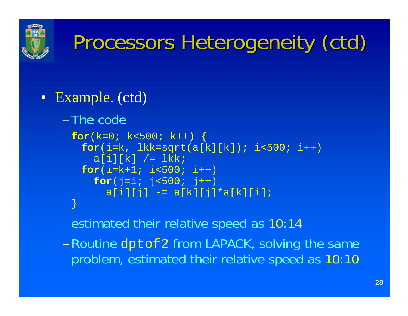

#### • Example. (ctd)

```
–The code
```

```
for(k=0; k<500; k++) {
 for(i=k, 1kk=sqrt(a[k][k]); i<500; i++)
   a[i][k] /= 1kk;for(i=k+1; i<500; i++)
   for(j = i; j < 500; j++)a[i][j] -= a[k][j]*a[k][i];}
```
estimated their relative speed as 10:14

–Routine dptof2 from LAPACK, solving the same problem, estimated their relative speed as 10:10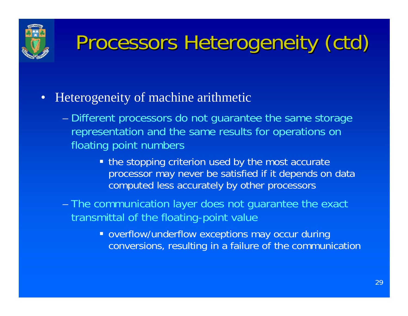

- $\bullet$ Heterogeneity of machine arithmetic
	- – Different processors do not guarantee the same storage representation and the same results for operations on floating point numbers
		- the stopping criterion used by the most accurate processor may never be satisfied if it depends on data computed less accurately by other processors
	- The communication layer does not guarantee the exact transmittal of the floating-point value
		- **overflow/underflow exceptions may occur during** conversions, resulting in a failure of the communication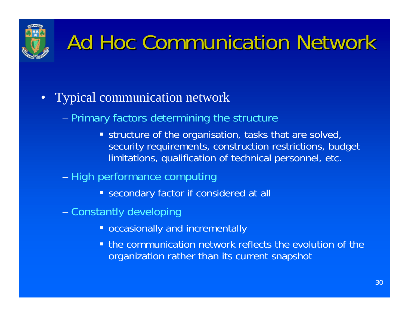

### Ad Hoc Communication Network

- Typical communication network
	- –– Primary factors determining the structure
		- structure of the organisation, tasks that are solved, security requirements, construction restrictions, budget limitations, qualification of technical personnel, etc.
	- High performance computing
		- secondary factor if considered at all
	- – Constantly developing
		- **occasionally and incrementally**
		- **the communication network reflects the evolution of the** organization rather than its current snapshot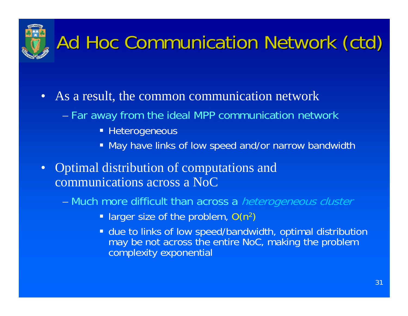

#### Ad Hoc Communication Network (ctd)

• As a result, the common communication network

- $-$  Far away from the ideal MPP communication network
	- **Heterogeneous**
	- **May have links of low speed and/or narrow bandwidth**
- $\bullet$  Optimal distribution of computations and communications across a NoC

– Much more difficult than across a *heterogeneous cluster* 

- larger size of the problem,  $O(n^2)$ )
- due to links of low speed/bandwidth, optimal distribution may be not across the entire NoC, making the problem complexity exponential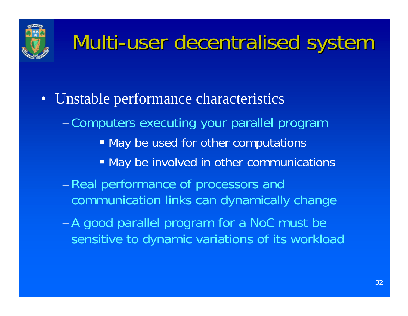

### Multi-user decentralised system

• Unstable performance characteristics

–Computers executing your parallel program

- $\blacksquare$  May be used for other computations
- May be involved in other communications
- –Real performance of processors and communication links can dynamically change

–A good parallel program for a NoC must be sensitive to dynamic variations of its workload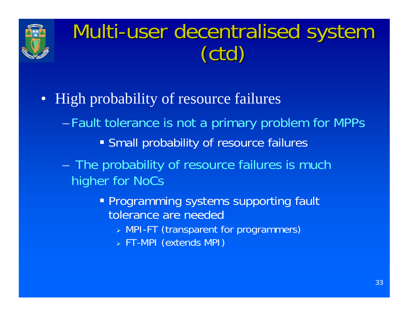

# Multi-user decentralised system<br>(ctd)

- High probability of resource failures
	- Fault tolerance is not a primary problem for MPPs
		- Small probability of resource failures
	- The probability of resource failures is much higher for NoCs
		- **Programming systems supporting fault** tolerance are needec
			- MPI-FT (transparent for programmers)
			- FT-MPI (extends MPI)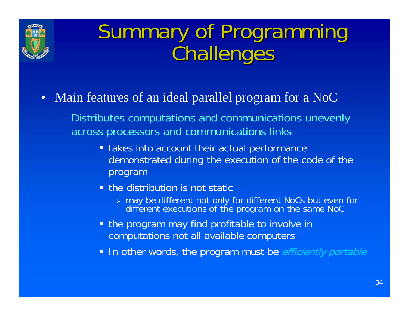

#### Summary of Programming Challenges

- Main features of an ideal parallel program for a NoC
	- – Distributes computations and communications unevenly across processors and communications links
		- **takes into account their actual performance** demonstrated during the execution of the code of the program
		- **•** the distribution is not static
			- may be different not only for different NoCs but even for different executions of the program on the same NoC
		- the program may find profitable to involve in computations not all available computers
		- **In other words, the program must be** efficiently portable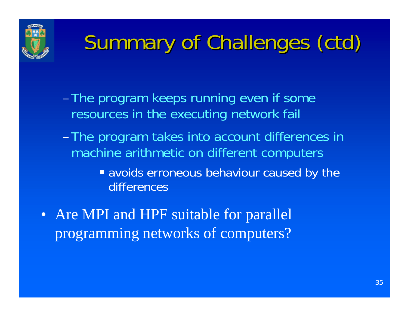

## Summary of Challenges (ctd)

- –The program keeps running even if some resources in the executing network fail
- –The program takes into account differences in machine arithmetic on different computers
	- **avoids erroneous behaviour caused by the** differences
- Are MPI and HPF suitable for parallel programming networks of computers?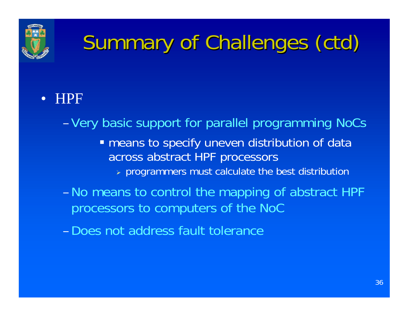

### Summary of Challenges (ctd)

#### • HPF

–Very basic support for parallel programming NoCs **n** means to specify uneven distribution of data across abstract HPF processors

 $\triangleright$  programmers must calculate the best distributior

–No means to control the mapping of abstract HPF processors to computers of the NoC

–Does not address fault tolerance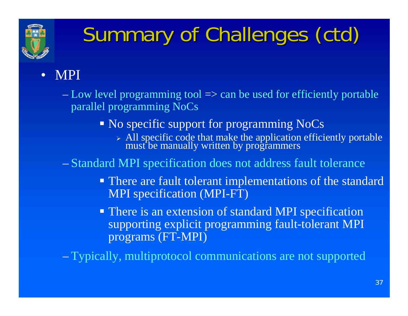

## Summary of Challenges (ctd)

#### • MPI

 $-$  Low level programming tool => can be used for efficiently portable parallel programming NoCs

- No specific support for programming NoCs
	- All specific code that make the application efficiently portable must be manually written by programmers

Standard MPI specification does not address fault tolerance

- **There are fault tolerant implementations of the standard** MPI specification (MPI-FT)
- **There is an extension of standard MPI specification** supporting explicit programming fault-tolerant MPI programs (FT-MPI)

Typically, multiprotocol communications are not supported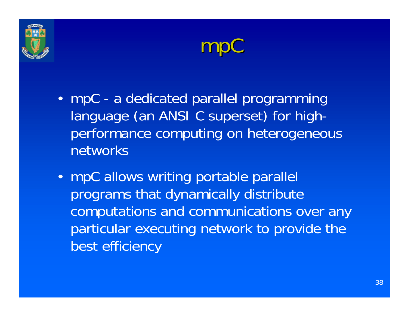



- mpC a dedicated parallel programming language (an ANSI C superset) for highperformance computing on heterogeneous networks
- • mpC allows writing portable parallel programs that dynamically distribute computations and communications over any particular executing network to provide the best efficiency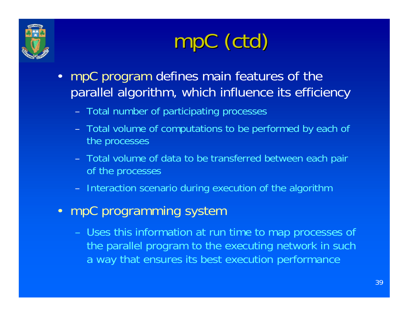

### mpC (ctd)

- mpC program defines main features of the parallel algorithm, which influence its efficiency
	- Total number of participating processes
	- Total volume of computations to be performed by each of the processes
	- Total volume of data to be transferred between each pair of the processes
	- Interaction scenario during execution of the algorithm
- mpC programming system
	- Uses this information at run time to map processes of the parallel program to the executing network in such a way that ensures its best execution performance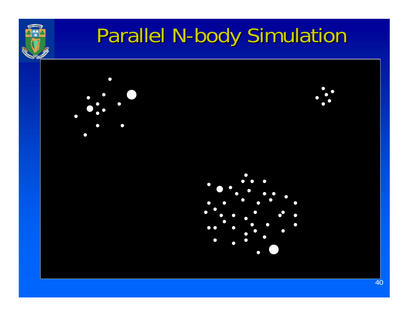

#### Parallel N-body Simulation

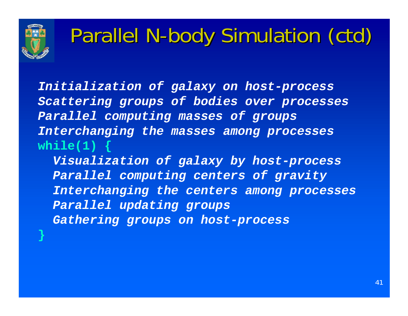

**}**

### Parallel N-body Simulation (ctd)

**Initialization of galaxy on host-process Scattering groups of bodies over processes Parallel computing masses of groups Interchanging the masses among processes while(1) {**

**Visualization of galaxy by host-process Parallel computing centers of gravity Interchanging the centers among processes Parallel updating groups Gathering groups on host-process**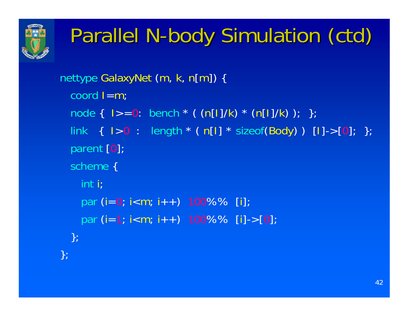

## Parallel N-body Simulation (ctd)

```
nettype GalaxyNet (m, k, n[m]) {
  coord I=m;
  node { I>=0: bench * ( (n[I]/k) * (n[I]/k) ); };
 link \{ >0 : length * ( n[1] * sizeof(Body) ) [1] -> [0]; \};
  parent [0];
  scheme {
    int i;
   par (i=0; i<m; i++) 100%% [i];
    par (i=1; i<m; i++) 100%% [i]->[0];
  };
};
```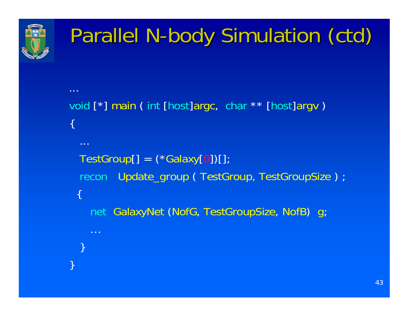

}

## Parallel N-body Simulation (ctd)

```
...void [*] main ( int [host]argc, char ** [host]argv )
{
  ... TestGroup[] = (*Galaxy[0])[];recon Update_group ( TestGroup, TestGroupSize ) ;
 \left\{ \right\}net GalaxyNet (NofG, TestGroupSize, NofB) g;
    …}
```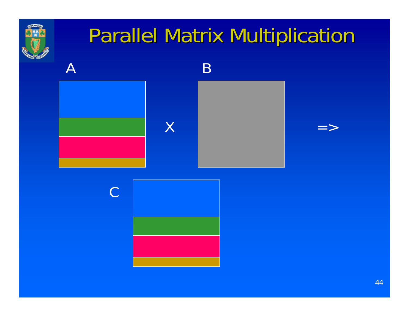

### Parallel Matrix Multiplication



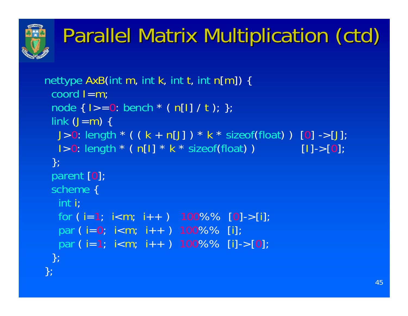

### Parallel Matrix Multiplication (ctd)

```
nettype AxB
(int
m, int
k, int
t, int
n[m]) {
 coord I=
m;
 node { I>=
0: bench * ( 
n[I] / t ); };
 link (J=m) {
   J>0: length * ( ( k + n[J] ) * k * sizeof(float) ) [0] ->[J];
   I > 0: length * ( n[I] * k * sizeof
                                    (float) ) [I]->[
0];
 };
 parent [0];
 scheme
{
   int i
   for ( i=
1; i<
m; i++ ) 100%% [
0]->[i];
   par ( i=
0; i<
m; i++ ) 100%% [i];
   par ( i=
1; i<
m; i++ ) 100%% [i]->[
0];
 };
};
```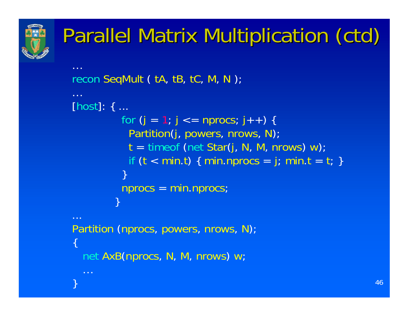

…

### Parallel Matrix Multiplication (ctd)

```
recon SeqMult ( tA, tB, tC, 
M, N );
…[host]: { ...
            for 
(j = 
1; j <= nprocs; j++) {
              Partition
(j, powers, nrows, 
N);
              t = timeof (net Star(j, N, M, nrows) w);
              if (\mathsf{t}<\mathsf{min}.\mathsf{t}) { min.nprocs = j; min.\mathsf{t}=\mathsf{t}; ]
            }
            nprocs = min.nprocs;
          }
...Partition (nprocs, powers, nrows, N);
{ 
   net AxB
(nprocs, 
N, 
M, nrows) 
w;
   …}
```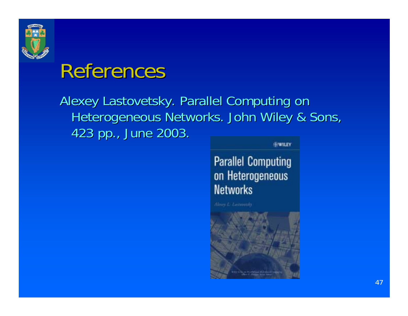

#### References

#### Alexey Lastovetsky. Parallel Computing on Heterogeneous Networks. John Wiley & Sons, 423 pp., June 2003. 423 pp., June 2003.

#### **INWILEY**

#### **Parallel Computing** on Heterogeneous **Networks**